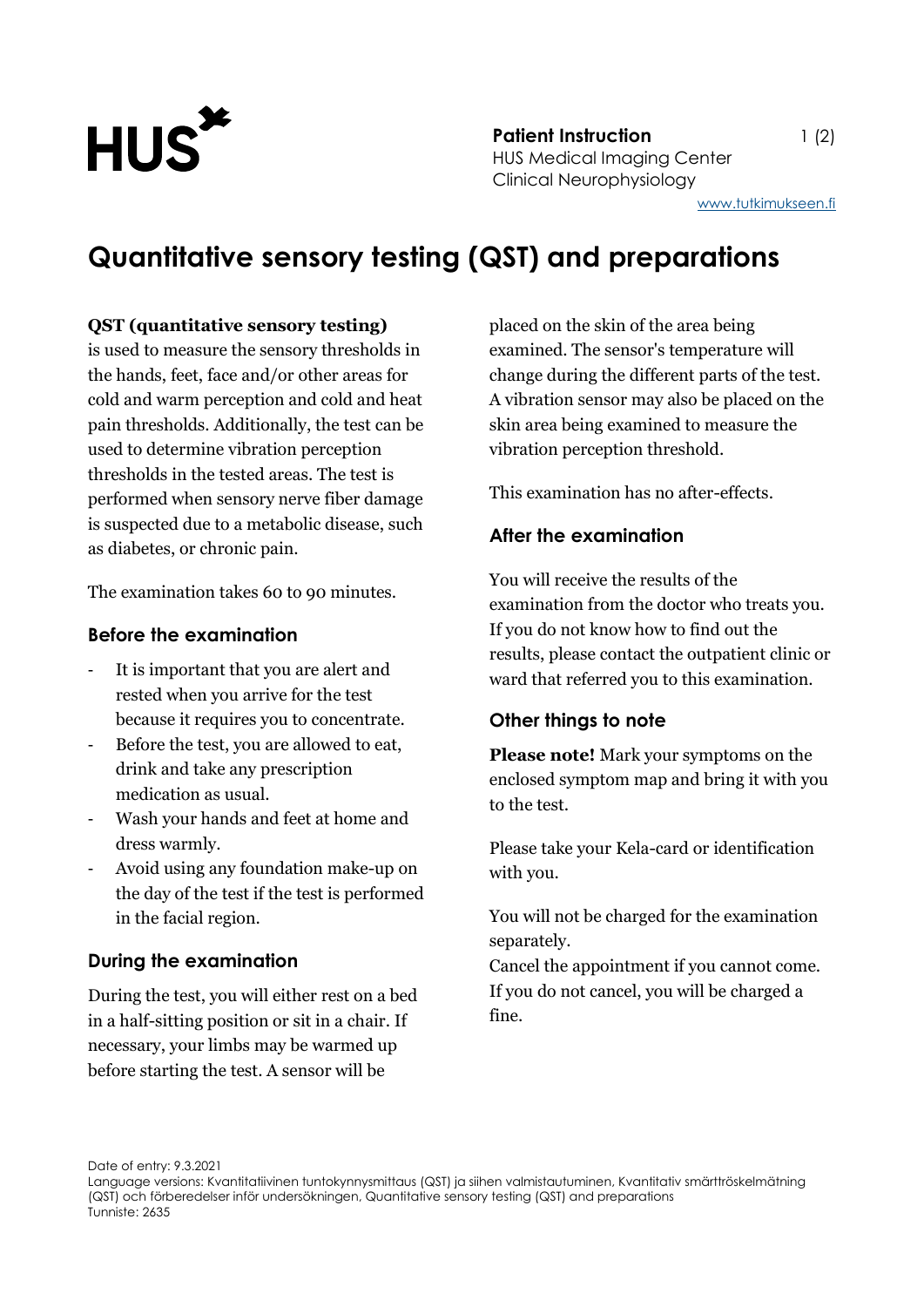

**Patient Instruction** 1 (2) HUS Medical Imaging Center Clinical Neurophysiology

### **Quantitative sensory testing (QST) and preparations**

#### **QST (quantitative sensory testing)**

is used to measure the sensory thresholds in the hands, feet, face and/or other areas for cold and warm perception and cold and heat pain thresholds. Additionally, the test can be used to determine vibration perception thresholds in the tested areas. The test is performed when sensory nerve fiber damage is suspected due to a metabolic disease, such as diabetes, or chronic pain.

The examination takes 60 to 90 minutes.

#### **Before the examination**

- It is important that you are alert and rested when you arrive for the test because it requires you to concentrate.
- Before the test, you are allowed to eat, drink and take any prescription medication as usual.
- Wash your hands and feet at home and dress warmly.
- Avoid using any foundation make-up on the day of the test if the test is performed in the facial region.

#### **During the examination**

During the test, you will either rest on a bed in a half-sitting position or sit in a chair. If necessary, your limbs may be warmed up before starting the test. A sensor will be

placed on the skin of the area being examined. The sensor's temperature will change during the different parts of the test. A vibration sensor may also be placed on the skin area being examined to measure the vibration perception threshold.

This examination has no after-effects.

#### **After the examination**

You will receive the results of the examination from the doctor who treats you. If you do not know how to find out the results, please contact the outpatient clinic or ward that referred you to this examination.

#### **Other things to note**

**Please note!** Mark your symptoms on the enclosed symptom map and bring it with you to the test.

Please take your Kela-card or identification with you.

You will not be charged for the examination separately.

Cancel the appointment if you cannot come. If you do not cancel, you will be charged a fine.

Date of entry: 9.3.2021

Language versions: Kvantitatiivinen tuntokynnysmittaus (QST) ja siihen valmistautuminen, Kvantitativ smärttröskelmätning (QST) och förberedelser inför undersökningen, Quantitative sensory testing (QST) and preparations Tunniste: 2635